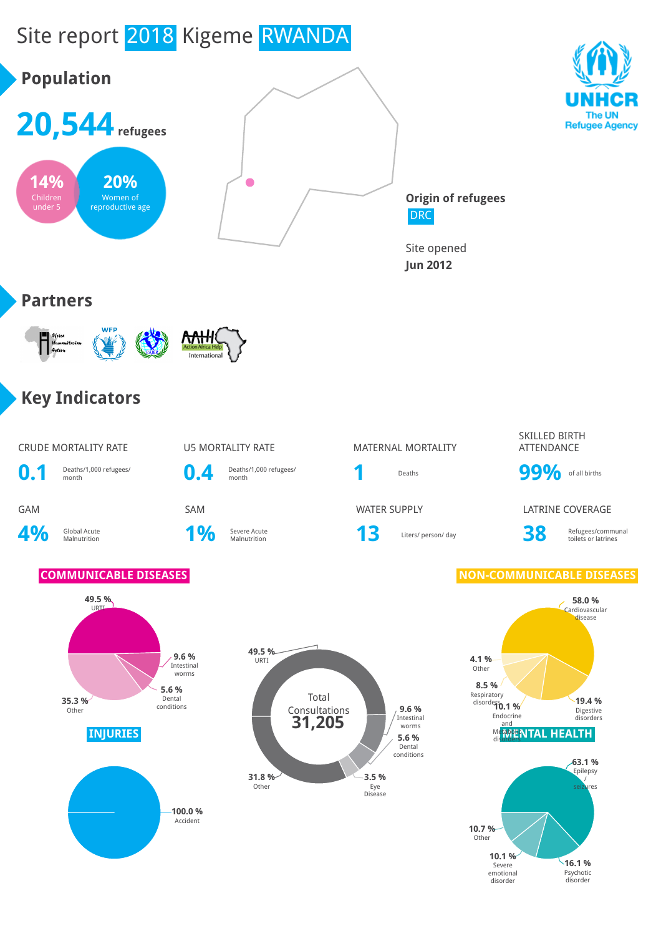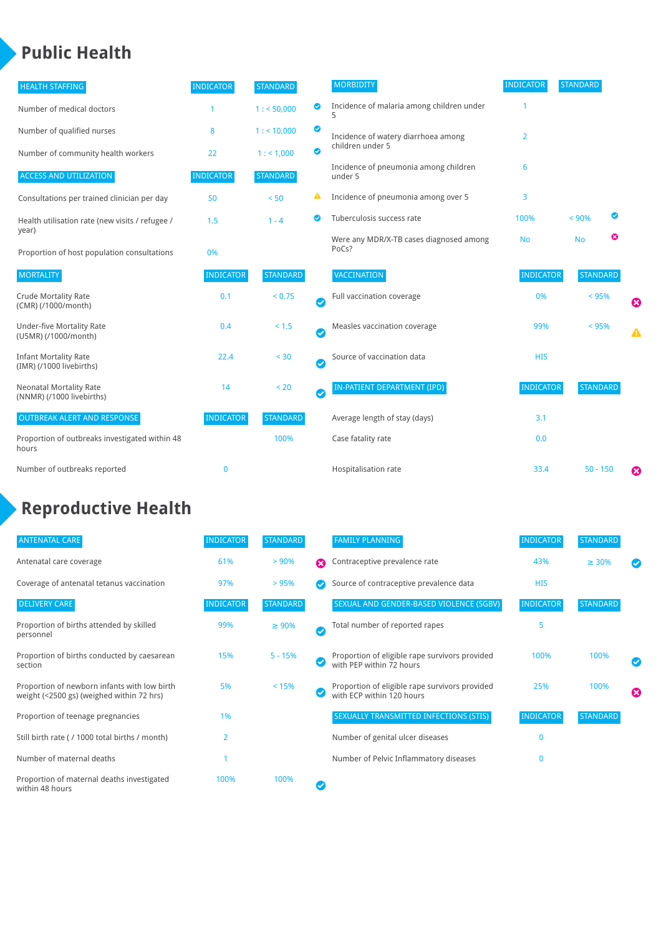### **Public Health**

| <b>HEALTH STAFFING</b>                                      | <b>INDICATOR</b> | <b>STANDARD</b> |           | <b>MORBIDITY</b>                                 | <b>INDICATOR</b> | <b>STANDARD</b> |                  |
|-------------------------------------------------------------|------------------|-----------------|-----------|--------------------------------------------------|------------------|-----------------|------------------|
| Number of medical doctors                                   |                  | 1: 50,000       | ◎         | Incidence of malaria among children under        |                  |                 |                  |
| Number of qualified nurses                                  | 8                | 1:10,000        | ◙         | Incidence of watery diarrhoea among              | 2                |                 |                  |
| Number of community health workers                          | 22               | 1: 1,000        | $\bullet$ | children under 5                                 |                  |                 |                  |
| <b>ACCESS AND UTILIZATION</b>                               | <b>INDICATOR</b> | <b>STANDARD</b> |           | Incidence of pneumonia among children<br>under 5 | 6                |                 |                  |
| Consultations per trained clinician per day                 | 50               | < 50            | ▲         | Incidence of pneumonia among over 5              | 3                |                 |                  |
| Health utilisation rate (new visits / refugee /             | 1.5              | $1 - 4$         | ◙         | Tuberculosis success rate                        | 100%             | < 90%           |                  |
| year)<br>Proportion of host population consultations        | 0%               |                 |           | Were any MDR/X-TB cases diagnosed among<br>PoCs? | <b>No</b>        | ఴ<br><b>No</b>  |                  |
| <b>MORTALITY</b>                                            | <b>INDICATOR</b> | <b>STANDARD</b> |           | <b>VACCINATION</b>                               | <b>INDICATOR</b> | <b>STANDARD</b> |                  |
| <b>Crude Mortality Rate</b><br>(CMR) (/1000/month)          | 0.1              | < 0.75          | $\bullet$ | Full vaccination coverage                        | 0%               | < 95%           | ☺                |
| <b>Under-five Mortality Rate</b><br>(U5MR) (/1000/month)    | 0.4              | < 1.5           | Ø         | Measles vaccination coverage                     | 99%              | < 95%           | $\blacktriangle$ |
| <b>Infant Mortality Rate</b><br>(IMR) (/1000 livebirths)    | 22.4             | < 30            | $\bullet$ | Source of vaccination data                       | <b>HIS</b>       |                 |                  |
| <b>Neonatal Mortality Rate</b><br>(NNMR) (/1000 livebirths) | 14               | < 20            | $\bullet$ | <b>IN-PATIENT DEPARTMENT (IPD)</b>               | <b>INDICATOR</b> | <b>STANDARD</b> |                  |
| <b>OUTBREAK ALERT AND RESPONSE</b>                          | <b>INDICATOR</b> | <b>STANDARD</b> |           | Average length of stay (days)                    | 3.1              |                 |                  |
| Proportion of outbreaks investigated within 48<br>hours     |                  | 100%            |           | Case fatality rate                               | 0.0              |                 |                  |
| Number of outbreaks reported                                | $\mathbf{0}$     |                 |           | Hospitalisation rate                             | 33.4             | $50 - 150$      | ೞ                |

# **Reproductive Health**

| <b>ANTENATAL CARE</b>                                                                     | <b>INDICATOR</b> | <b>STANDARD</b> |   | <b>FAMILY PLANNING</b>                                                      | <b>INDICATOR</b> | <b>STANDARD</b> |   |
|-------------------------------------------------------------------------------------------|------------------|-----------------|---|-----------------------------------------------------------------------------|------------------|-----------------|---|
| Antenatal care coverage                                                                   | 61%              | > 90%           | Ω | Contraceptive prevalence rate                                               | 43%              | $\geq 30\%$     |   |
| Coverage of antenatal tetanus vaccination                                                 | 97%              | >95%            |   | Source of contraceptive prevalence data                                     | <b>HIS</b>       |                 |   |
| <b>DELIVERY CARE</b>                                                                      | <b>INDICATOR</b> | <b>STANDARD</b> |   | SEXUAL AND GENDER-BASED VIOLENCE (SGBV)                                     | <b>INDICATOR</b> | <b>STANDARD</b> |   |
| Proportion of births attended by skilled<br>personnel                                     | 99%              | $\geq 90\%$     | ✓ | Total number of reported rapes                                              | 5                |                 |   |
| Proportion of births conducted by caesarean<br>section                                    | 15%              | $5 - 15%$       |   | Proportion of eligible rape survivors provided<br>with PEP within 72 hours  | 100%             | 100%            |   |
| Proportion of newborn infants with low birth<br>weight (<2500 gs) (weighed within 72 hrs) | 5%               | < 15%           |   | Proportion of eligible rape survivors provided<br>with ECP within 120 hours | 25%              | 100%            | ☎ |
| Proportion of teenage pregnancies                                                         | 1%               |                 |   | SEXUALLY TRANSMITTED INFECTIONS (STIS)                                      | <b>INDICATOR</b> | <b>STANDARD</b> |   |
| Still birth rate (/ 1000 total births / month)                                            | $\overline{2}$   |                 |   | Number of genital ulcer diseases                                            | $\mathbf{0}$     |                 |   |
| Number of maternal deaths                                                                 |                  |                 |   | Number of Pelvic Inflammatory diseases                                      | 0                |                 |   |
| Proportion of maternal deaths investigated<br>within 48 hours                             | 100%             | 100%            |   |                                                                             |                  |                 |   |